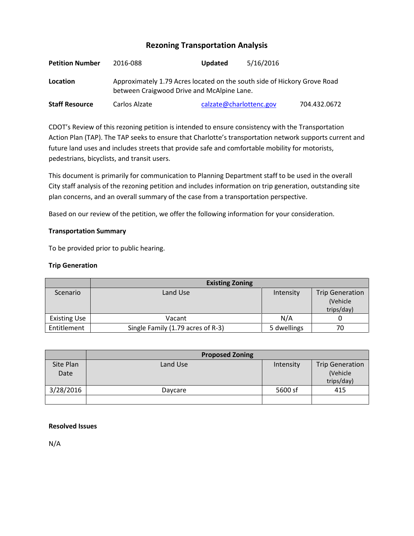# **Rezoning Transportation Analysis**

| <b>Petition Number</b> | 2016-088                                                                                                               | <b>Updated</b>          | 5/16/2016 |              |
|------------------------|------------------------------------------------------------------------------------------------------------------------|-------------------------|-----------|--------------|
| Location               | Approximately 1.79 Acres located on the south side of Hickory Grove Road<br>between Craigwood Drive and McAlpine Lane. |                         |           |              |
| <b>Staff Resource</b>  | Carlos Alzate                                                                                                          | calzate@charlottenc.gov |           | 704.432.0672 |

CDOT's Review of this rezoning petition is intended to ensure consistency with the Transportation Action Plan (TAP). The TAP seeks to ensure that Charlotte's transportation network supports current and future land uses and includes streets that provide safe and comfortable mobility for motorists, pedestrians, bicyclists, and transit users.

This document is primarily for communication to Planning Department staff to be used in the overall City staff analysis of the rezoning petition and includes information on trip generation, outstanding site plan concerns, and an overall summary of the case from a transportation perspective.

Based on our review of the petition, we offer the following information for your consideration.

## **Transportation Summary**

To be provided prior to public hearing.

## **Trip Generation**

|                     | <b>Existing Zoning</b>            |             |                        |
|---------------------|-----------------------------------|-------------|------------------------|
| Scenario            | Land Use                          | Intensity   | <b>Trip Generation</b> |
|                     |                                   |             | (Vehicle               |
|                     |                                   |             | trips/day)             |
| <b>Existing Use</b> | Vacant                            | N/A         |                        |
| Entitlement         | Single Family (1.79 acres of R-3) | 5 dwellings | 70                     |

|                   | <b>Proposed Zoning</b> |           |                                                  |
|-------------------|------------------------|-----------|--------------------------------------------------|
| Site Plan<br>Date | Land Use               | Intensity | <b>Trip Generation</b><br>(Vehicle<br>trips/day) |
| 3/28/2016         | Daycare                | 5600 sf   | 415                                              |

## **Resolved Issues**

N/A